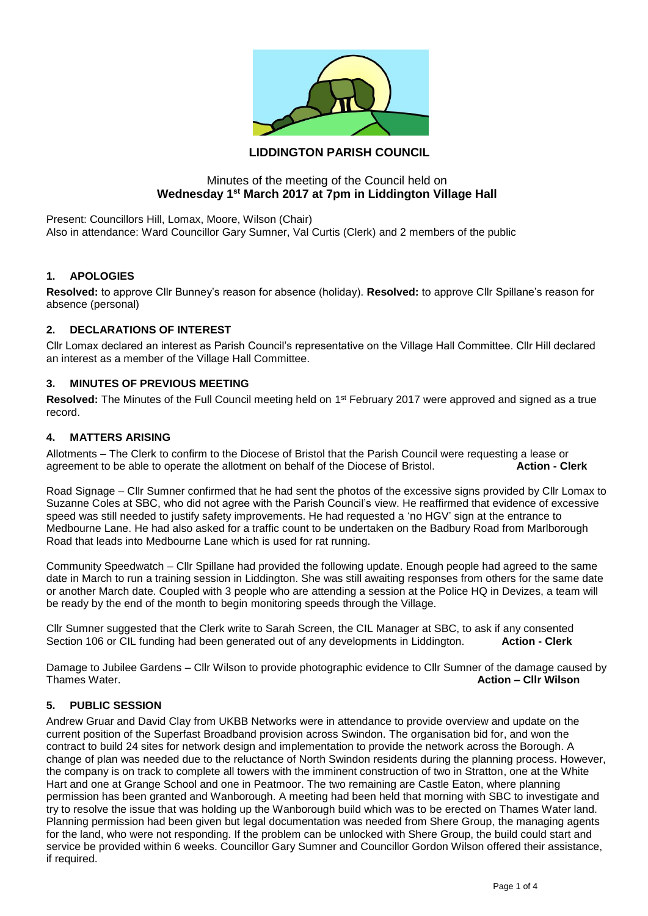

# **LIDDINGTON PARISH COUNCIL**

# Minutes of the meeting of the Council held on **Wednesday 1st March 2017 at 7pm in Liddington Village Hall**

Present: Councillors Hill, Lomax, Moore, Wilson (Chair) Also in attendance: Ward Councillor Gary Sumner, Val Curtis (Clerk) and 2 members of the public

### **1. APOLOGIES**

**Resolved:** to approve Cllr Bunney's reason for absence (holiday). **Resolved:** to approve Cllr Spillane's reason for absence (personal)

#### **2. DECLARATIONS OF INTEREST**

Cllr Lomax declared an interest as Parish Council's representative on the Village Hall Committee. Cllr Hill declared an interest as a member of the Village Hall Committee.

# **3. MINUTES OF PREVIOUS MEETING**

Resolved: The Minutes of the Full Council meeting held on 1<sup>st</sup> February 2017 were approved and signed as a true record.

#### **4. MATTERS ARISING**

Allotments – The Clerk to confirm to the Diocese of Bristol that the Parish Council were requesting a lease or agreement to be able to operate the allotment on behalf of the Diocese of Bristol. **Action - Clerk**

Road Signage – Cllr Sumner confirmed that he had sent the photos of the excessive signs provided by Cllr Lomax to Suzanne Coles at SBC, who did not agree with the Parish Council's view. He reaffirmed that evidence of excessive speed was still needed to justify safety improvements. He had requested a 'no HGV' sign at the entrance to Medbourne Lane. He had also asked for a traffic count to be undertaken on the Badbury Road from Marlborough Road that leads into Medbourne Lane which is used for rat running.

Community Speedwatch – Cllr Spillane had provided the following update. Enough people had agreed to the same date in March to run a training session in Liddington. She was still awaiting responses from others for the same date or another March date. Coupled with 3 people who are attending a session at the Police HQ in Devizes, a team will be ready by the end of the month to begin monitoring speeds through the Village.

Cllr Sumner suggested that the Clerk write to Sarah Screen, the CIL Manager at SBC, to ask if any consented Section 106 or CIL funding had been generated out of any developments in Liddington. **Action - Clerk**

Damage to Jubilee Gardens – Cllr Wilson to provide photographic evidence to Cllr Sumner of the damage caused by<br>Thames Water **Action – Cllr Wilson** Thames Water. **Action – Cllr Wilson**

### **5. PUBLIC SESSION**

Andrew Gruar and David Clay from UKBB Networks were in attendance to provide overview and update on the current position of the Superfast Broadband provision across Swindon. The organisation bid for, and won the contract to build 24 sites for network design and implementation to provide the network across the Borough. A change of plan was needed due to the reluctance of North Swindon residents during the planning process. However, the company is on track to complete all towers with the imminent construction of two in Stratton, one at the White Hart and one at Grange School and one in Peatmoor. The two remaining are Castle Eaton, where planning permission has been granted and Wanborough. A meeting had been held that morning with SBC to investigate and try to resolve the issue that was holding up the Wanborough build which was to be erected on Thames Water land. Planning permission had been given but legal documentation was needed from Shere Group, the managing agents for the land, who were not responding. If the problem can be unlocked with Shere Group, the build could start and service be provided within 6 weeks. Councillor Gary Sumner and Councillor Gordon Wilson offered their assistance, if required.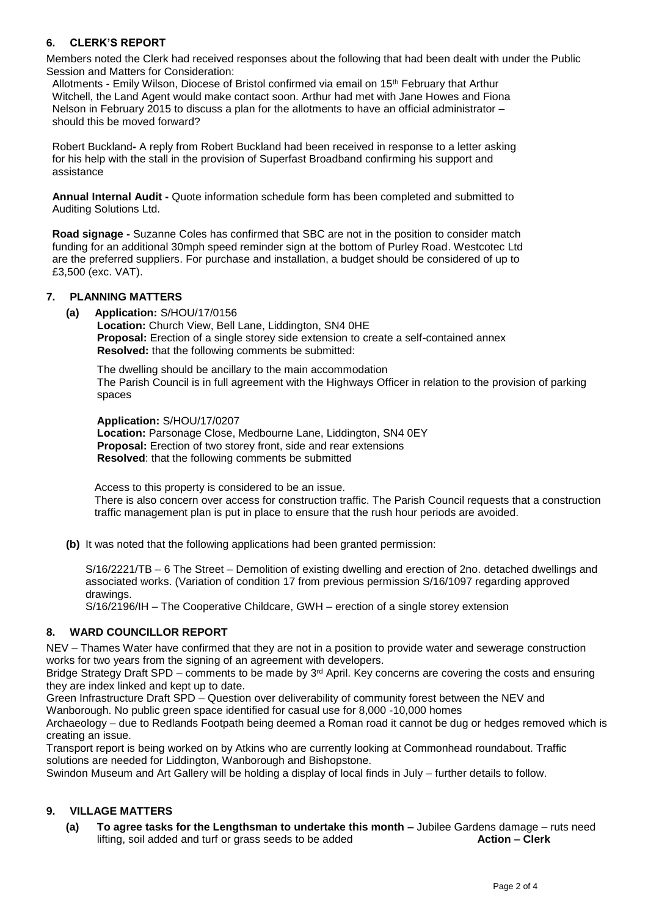# **6. CLERK'S REPORT**

Members noted the Clerk had received responses about the following that had been dealt with under the Public Session and Matters for Consideration:

Allotments - Emily Wilson, Diocese of Bristol confirmed via email on 15th February that Arthur Witchell, the Land Agent would make contact soon. Arthur had met with Jane Howes and Fiona Nelson in February 2015 to discuss a plan for the allotments to have an official administrator – should this be moved forward?

Robert Buckland**-** A reply from Robert Buckland had been received in response to a letter asking for his help with the stall in the provision of Superfast Broadband confirming his support and assistance

**Annual Internal Audit -** Quote information schedule form has been completed and submitted to Auditing Solutions Ltd.

**Road signage -** Suzanne Coles has confirmed that SBC are not in the position to consider match funding for an additional 30mph speed reminder sign at the bottom of Purley Road. Westcotec Ltd are the preferred suppliers. For purchase and installation, a budget should be considered of up to £3,500 (exc. VAT).

### **7. PLANNING MATTERS**

**(a) Application:** S/HOU/17/0156

**Location:** Church View, Bell Lane, Liddington, SN4 0HE **Proposal:** Erection of a single storey side extension to create a self-contained annex **Resolved:** that the following comments be submitted:

The dwelling should be ancillary to the main accommodation The Parish Council is in full agreement with the Highways Officer in relation to the provision of parking spaces

**Application:** S/HOU/17/0207 **Location:** Parsonage Close, Medbourne Lane, Liddington, SN4 0EY **Proposal:** Erection of two storey front, side and rear extensions **Resolved**: that the following comments be submitted

 Access to this property is considered to be an issue. There is also concern over access for construction traffic. The Parish Council requests that a construction traffic management plan is put in place to ensure that the rush hour periods are avoided.

**(b)** It was noted that the following applications had been granted permission:

S/16/2221/TB – 6 The Street – Demolition of existing dwelling and erection of 2no. detached dwellings and associated works. (Variation of condition 17 from previous permission S/16/1097 regarding approved drawings.

S/16/2196/IH – The Cooperative Childcare, GWH – erection of a single storey extension

### **8. WARD COUNCILLOR REPORT**

NEV – Thames Water have confirmed that they are not in a position to provide water and sewerage construction works for two years from the signing of an agreement with developers.

Bridge Strategy Draft SPD – comments to be made by 3<sup>rd</sup> April. Key concerns are covering the costs and ensuring they are index linked and kept up to date.

Green Infrastructure Draft SPD – Question over deliverability of community forest between the NEV and Wanborough. No public green space identified for casual use for 8,000 -10,000 homes

Archaeology – due to Redlands Footpath being deemed a Roman road it cannot be dug or hedges removed which is creating an issue.

Transport report is being worked on by Atkins who are currently looking at Commonhead roundabout. Traffic solutions are needed for Liddington, Wanborough and Bishopstone.

Swindon Museum and Art Gallery will be holding a display of local finds in July – further details to follow.

### **9. VILLAGE MATTERS**

**(a) To agree tasks for the Lengthsman to undertake this month –** Jubilee Gardens damage – ruts need lifting, soil added and turf or grass seeds to be added **Action – Clerk**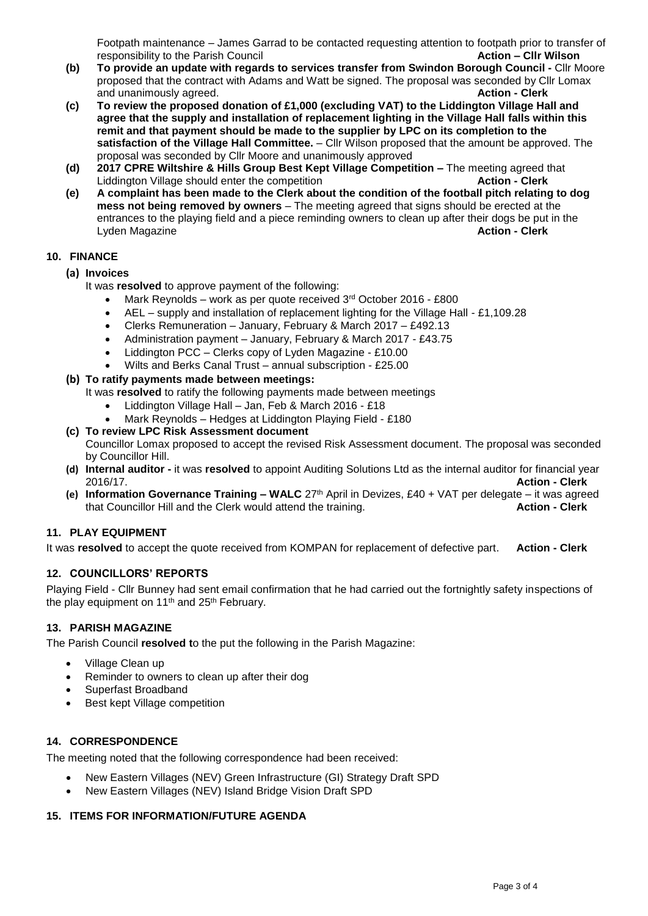Footpath maintenance – James Garrad to be contacted requesting attention to footpath prior to transfer of responsibility to the Parish Council **Action – Cllr Wilson**

- **(b) To provide an update with regards to services transfer from Swindon Borough Council -** Cllr Moore proposed that the contract with Adams and Watt be signed. The proposal was seconded by Cllr Lomax and unanimously agreed. **Action - Clerk**
- **(c) To review the proposed donation of £1,000 (excluding VAT) to the Liddington Village Hall and agree that the supply and installation of replacement lighting in the Village Hall falls within this remit and that payment should be made to the supplier by LPC on its completion to the satisfaction of the Village Hall Committee.** – Cllr Wilson proposed that the amount be approved. The proposal was seconded by Cllr Moore and unanimously approved
- **(d) 2017 CPRE Wiltshire & Hills Group Best Kept Village Competition –** The meeting agreed that Liddington Village should enter the competition **Action - Clerk**
- **(e) A complaint has been made to the Clerk about the condition of the football pitch relating to dog mess not being removed by owners** – The meeting agreed that signs should be erected at the entrances to the playing field and a piece reminding owners to clean up after their dogs be put in the Lyden Magazine **Action - Clerk**

# **10. FINANCE**

- **(a) Invoices**
	- It was **resolved** to approve payment of the following:
		- Mark Reynolds work as per quote received 3rd October 2016 £800
		- AEL supply and installation of replacement lighting for the Village Hall £1,109.28
		- Clerks Remuneration January, February & March 2017 £492.13
		- Administration payment January, February & March 2017 £43.75
		- Liddington PCC Clerks copy of Lyden Magazine £10.00
		- Wilts and Berks Canal Trust annual subscription £25.00

# **(b) To ratify payments made between meetings:**

It was **resolved** to ratify the following payments made between meetings

- Liddington Village Hall Jan, Feb & March 2016 £18
- Mark Reynolds Hedges at Liddington Playing Field £180
- **(c) To review LPC Risk Assessment document**

Councillor Lomax proposed to accept the revised Risk Assessment document. The proposal was seconded by Councillor Hill.

- **(d) Internal auditor -** it was **resolved** to appoint Auditing Solutions Ltd as the internal auditor for financial year 2016/17. **Action - Clerk**
- **(e) Information Governance Training – WALC** 27th April in Devizes, £40 + VAT per delegate it was agreed that Councillor Hill and the Clerk would attend the training.

### **11. PLAY EQUIPMENT**

It was **resolved** to accept the quote received from KOMPAN for replacement of defective part. **Action - Clerk**

### **12. COUNCILLORS' REPORTS**

Playing Field - Cllr Bunney had sent email confirmation that he had carried out the fortnightly safety inspections of the play equipment on 11<sup>th</sup> and 25<sup>th</sup> February.

### **13. PARISH MAGAZINE**

The Parish Council **resolved t**o the put the following in the Parish Magazine:

- Village Clean up
- Reminder to owners to clean up after their dog
- Superfast Broadband
- Best kept Village competition

### **14. CORRESPONDENCE**

The meeting noted that the following correspondence had been received:

- New Eastern Villages (NEV) Green Infrastructure (GI) Strategy Draft SPD
- New Eastern Villages (NEV) Island Bridge Vision Draft SPD

### **15. ITEMS FOR INFORMATION/FUTURE AGENDA**